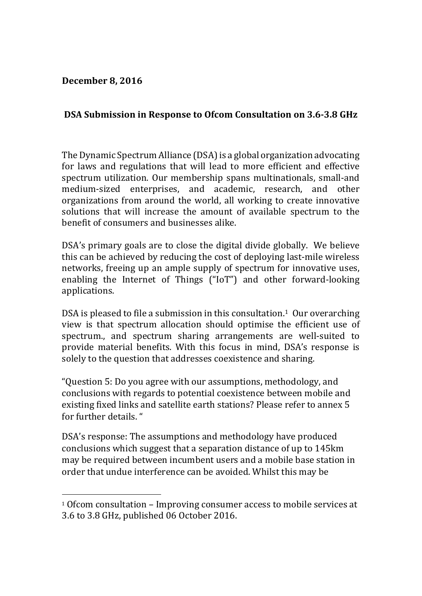**December 8, 2016**

 

## **DSA Submission in Response to Ofcom Consultation on 3.6‐3.8 GHz**

The Dynamic Spectrum Alliance (DSA) is a global organization advocating for laws and regulations that will lead to more efficient and effective spectrum utilization. Our membership spans multinationals, small-and medium-sized enterprises, and academic, research, and other organizations from around the world, all working to create innovative solutions that will increase the amount of available spectrum to the benefit of consumers and businesses alike.

DSA's primary goals are to close the digital divide globally. We believe this can be achieved by reducing the cost of deploying last-mile wireless networks, freeing up an ample supply of spectrum for innovative uses, enabling the Internet of Things  $("IoT")$  and other forward-looking applications. 

DSA is pleased to file a submission in this consultation.<sup>1</sup> Our overarching view is that spectrum allocation should optimise the efficient use of spectrum., and spectrum sharing arrangements are well-suited to provide material benefits. With this focus in mind, DSA's response is solely to the question that addresses coexistence and sharing.

"Question 5: Do you agree with our assumptions, methodology, and conclusions with regards to potential coexistence between mobile and existing fixed links and satellite earth stations? Please refer to annex 5 for further details. "

DSA's response: The assumptions and methodology have produced conclusions which suggest that a separation distance of up to 145km may be required between incumbent users and a mobile base station in order that undue interference can be avoided. Whilst this may be

 $10$  of com consultation – Improving consumer access to mobile services at 3.6 to 3.8 GHz, published 06 October 2016.